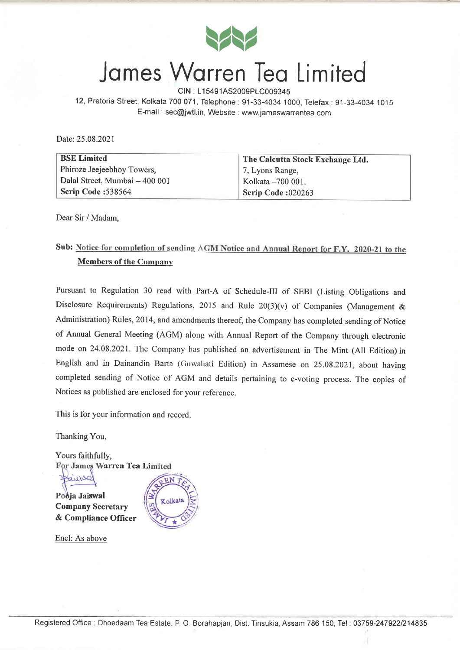

# James Warren Tea Limited

CIN : L15491AS2009PLC009345 12, Pretoria Street, Kolkata 700071, Telephone:91-33-4034 1000, Telefax:91-33-4034 1O1S

E-mail : sec@jwtl.in, Website : www.jameswarrentea.com

Date: 25.08.2021

| <b>BSE Limited</b>             | The Calcutta Stock Exchange Ltd. |
|--------------------------------|----------------------------------|
| Phiroze Jeejeebhoy Towers,     | 7, Lyons Range,                  |
| Dalal Street, Mumbai - 400 001 | Kolkata - 700 001.               |
| Scrip Code: 538564             | Scrip Code:020263                |

Dear Sir / Madam,

## Sub: Notice for completion of sending AGM Notice and Annual Report for F.Y. 2020-21 to the Members of the Companv

Pursuant to Regulation 30 read with Part-A of Schedule-III of SEBI (Listing Obligations and Disclosure Requirements) Regulations, 2015 and Rule  $20(3)(v)$  of Companies (Management & Administration) Rules, 2014, and amendments thereof, the Company has completed sending of Notice of Annual General Meeting (AGM) along with Annual Report of the Company through electronic mode on 24.08.2021. The Company has published an advertisement in The Mint (All Edition) in English and in Dainandin Barla (Cuwahati Edition) in Assamese on 25.08.2021, about having completed sending of Notice of AGM and details pertaining to e-voting process. The copies of Notices as published are enclosed for your reference.

This is for your information and record.

Thanking You,

Yours faithfully, For James Warren Tea Limited

auro  $\int$  ja Jaiswal  $\int$ Company Secretary \ & Compliance Officer

Encl: As above